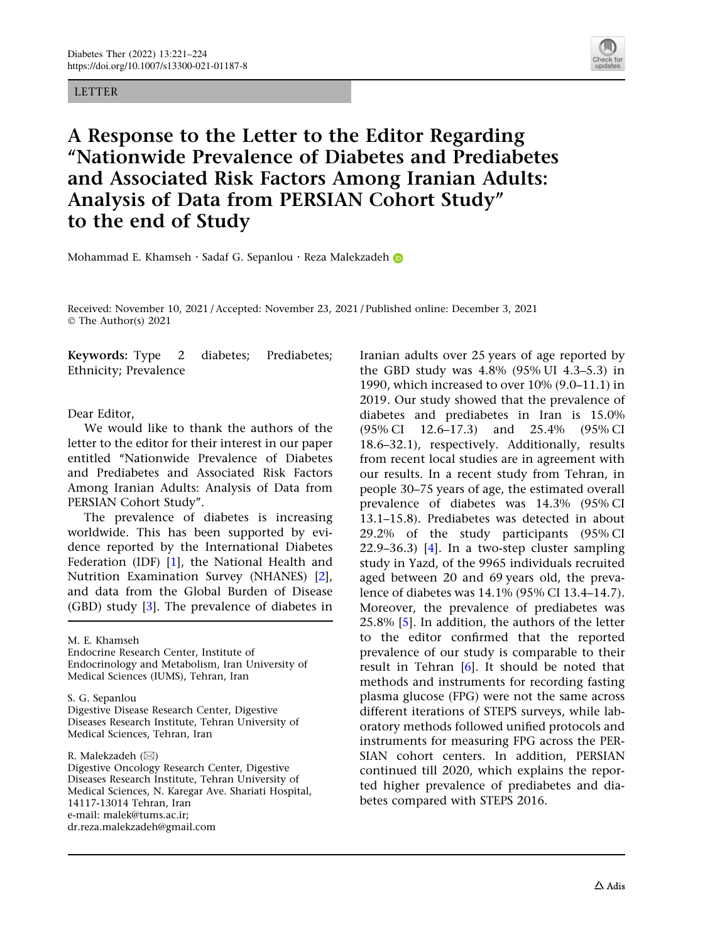## LETTER



# A Response to the Letter to the Editor Regarding ''Nationwide Prevalence of Diabetes and Prediabetes and Associated Risk Factors Among Iranian Adults: Analysis of Data from PERSIAN Cohort Study'' to the end of Study

Mohammad E. Khamseh · Sadaf G. Sepanlou · Reza Malekzadeh D

Received: November 10, 2021 / Accepted: November 23, 2021 / Published online: December 3, 2021 © The Author(s) 2021

Keywords: Type 2 diabetes; Prediabetes; Ethnicity; Prevalence

### Dear Editor,

We would like to thank the authors of the letter to the editor for their interest in our paper entitled ''Nationwide Prevalence of Diabetes and Prediabetes and Associated Risk Factors Among Iranian Adults: Analysis of Data from PERSIAN Cohort Study''.

The prevalence of diabetes is increasing worldwide. This has been supported by evidence reported by the International Diabetes Federation (IDF) [[1\]](#page-2-0), the National Health and Nutrition Examination Survey (NHANES) [\[2\]](#page-3-0), and data from the Global Burden of Disease (GBD) study [\[3](#page-3-0)]. The prevalence of diabetes in

M. E. Khamseh

Endocrine Research Center, Institute of Endocrinology and Metabolism, Iran University of Medical Sciences (IUMS), Tehran, Iran

#### S. G. Sepanlou

Digestive Disease Research Center, Digestive Diseases Research Institute, Tehran University of Medical Sciences, Tehran, Iran

R. Malekzadeh  $(\boxtimes)$ 

Digestive Oncology Research Center, Digestive Diseases Research Institute, Tehran University of Medical Sciences, N. Karegar Ave. Shariati Hospital, 14117-13014 Tehran, Iran e-mail: malek@tums.ac.ir; dr.reza.malekzadeh@gmail.com

Iranian adults over 25 years of age reported by the GBD study was 4.8% (95% UI 4.3–5.3) in 1990, which increased to over 10% (9.0–11.1) in 2019. Our study showed that the prevalence of diabetes and prediabetes in Iran is 15.0% (95% CI 12.6–17.3) and 25.4% (95% CI 18.6–32.1), respectively. Additionally, results from recent local studies are in agreement with our results. In a recent study from Tehran, in people 30–75 years of age, the estimated overall prevalence of diabetes was 14.3% (95% CI 13.1–15.8). Prediabetes was detected in about 29.2% of the study participants (95% CI 22.9–36.3) [[4\]](#page-3-0). In a two-step cluster sampling study in Yazd, of the 9965 individuals recruited aged between 20 and 69 years old, the prevalence of diabetes was 14.1% (95% CI 13.4–14.7). Moreover, the prevalence of prediabetes was 25.8% [[5](#page-3-0)]. In addition, the authors of the letter to the editor confirmed that the reported prevalence of our study is comparable to their result in Tehran [[6](#page-3-0)]. It should be noted that methods and instruments for recording fasting plasma glucose (FPG) were not the same across different iterations of STEPS surveys, while laboratory methods followed unified protocols and instruments for measuring FPG across the PER-SIAN cohort centers. In addition, PERSIAN continued till 2020, which explains the reported higher prevalence of prediabetes and diabetes compared with STEPS 2016.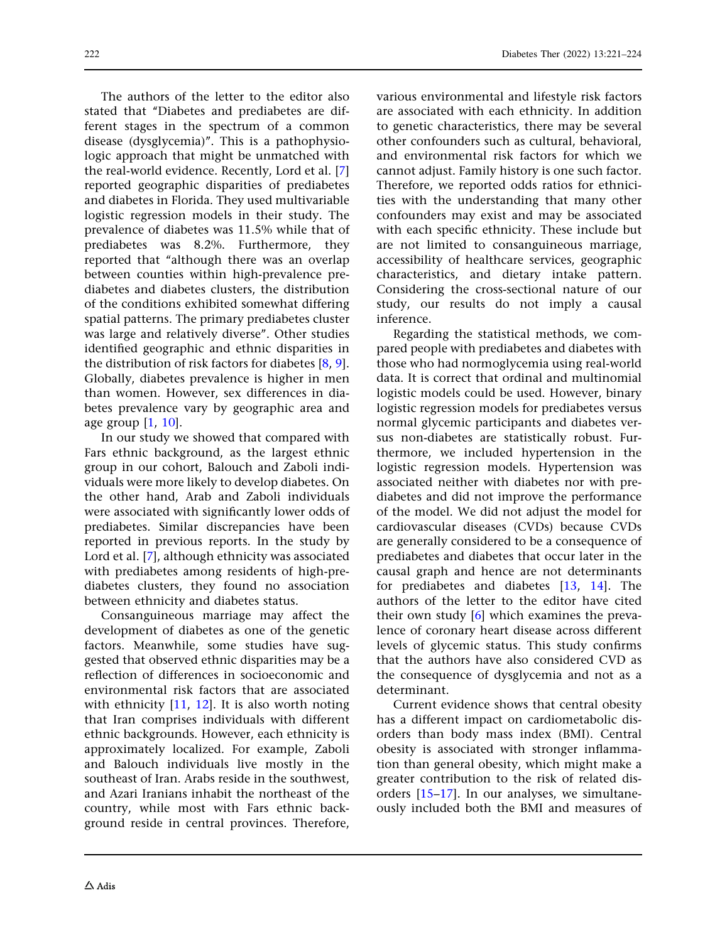The authors of the letter to the editor also stated that ''Diabetes and prediabetes are different stages in the spectrum of a common disease (dysglycemia)''. This is a pathophysiologic approach that might be unmatched with the real-world evidence. Recently, Lord et al. [\[7](#page-3-0)] reported geographic disparities of prediabetes and diabetes in Florida. They used multivariable logistic regression models in their study. The prevalence of diabetes was 11.5% while that of prediabetes was 8.2%. Furthermore, they reported that ''although there was an overlap between counties within high-prevalence prediabetes and diabetes clusters, the distribution of the conditions exhibited somewhat differing spatial patterns. The primary prediabetes cluster was large and relatively diverse''. Other studies identified geographic and ethnic disparities in the distribution of risk factors for diabetes [\[8,](#page-3-0) [9](#page-3-0)]. Globally, diabetes prevalence is higher in men than women. However, sex differences in diabetes prevalence vary by geographic area and age group [[1](#page-2-0), [10](#page-3-0)].

In our study we showed that compared with Fars ethnic background, as the largest ethnic group in our cohort, Balouch and Zaboli individuals were more likely to develop diabetes. On the other hand, Arab and Zaboli individuals were associated with significantly lower odds of prediabetes. Similar discrepancies have been reported in previous reports. In the study by Lord et al. [[7\]](#page-3-0), although ethnicity was associated with prediabetes among residents of high-prediabetes clusters, they found no association between ethnicity and diabetes status.

Consanguineous marriage may affect the development of diabetes as one of the genetic factors. Meanwhile, some studies have suggested that observed ethnic disparities may be a reflection of differences in socioeconomic and environmental risk factors that are associated with ethnicity  $[11, 12]$  $[11, 12]$  $[11, 12]$  $[11, 12]$  $[11, 12]$ . It is also worth noting that Iran comprises individuals with different ethnic backgrounds. However, each ethnicity is approximately localized. For example, Zaboli and Balouch individuals live mostly in the southeast of Iran. Arabs reside in the southwest, and Azari Iranians inhabit the northeast of the country, while most with Fars ethnic background reside in central provinces. Therefore,

various environmental and lifestyle risk factors are associated with each ethnicity. In addition to genetic characteristics, there may be several other confounders such as cultural, behavioral, and environmental risk factors for which we cannot adjust. Family history is one such factor. Therefore, we reported odds ratios for ethnicities with the understanding that many other confounders may exist and may be associated with each specific ethnicity. These include but are not limited to consanguineous marriage, accessibility of healthcare services, geographic characteristics, and dietary intake pattern. Considering the cross-sectional nature of our study, our results do not imply a causal inference.

Regarding the statistical methods, we compared people with prediabetes and diabetes with those who had normoglycemia using real-world data. It is correct that ordinal and multinomial logistic models could be used. However, binary logistic regression models for prediabetes versus normal glycemic participants and diabetes versus non-diabetes are statistically robust. Furthermore, we included hypertension in the logistic regression models. Hypertension was associated neither with diabetes nor with prediabetes and did not improve the performance of the model. We did not adjust the model for cardiovascular diseases (CVDs) because CVDs are generally considered to be a consequence of prediabetes and diabetes that occur later in the causal graph and hence are not determinants for prediabetes and diabetes [[13](#page-3-0), [14\]](#page-3-0). The authors of the letter to the editor have cited their own study [\[6\]](#page-3-0) which examines the prevalence of coronary heart disease across different levels of glycemic status. This study confirms that the authors have also considered CVD as the consequence of dysglycemia and not as a determinant.

Current evidence shows that central obesity has a different impact on cardiometabolic disorders than body mass index (BMI). Central obesity is associated with stronger inflammation than general obesity, which might make a greater contribution to the risk of related disorders [[15–17](#page-3-0)]. In our analyses, we simultaneously included both the BMI and measures of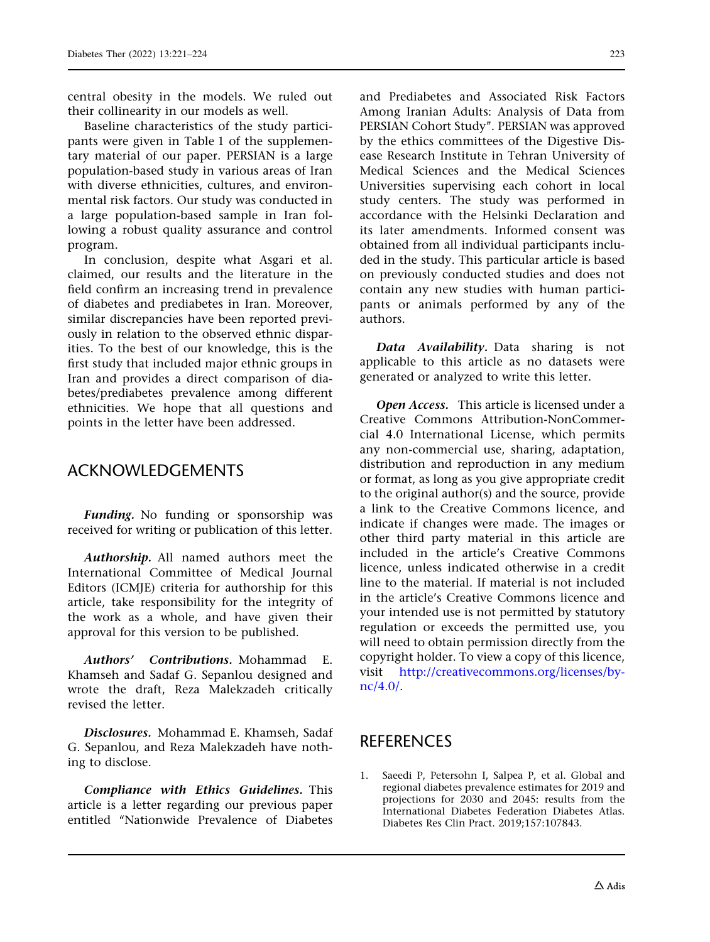<span id="page-2-0"></span>central obesity in the models. We ruled out their collinearity in our models as well.

Baseline characteristics of the study participants were given in Table 1 of the supplementary material of our paper. PERSIAN is a large population-based study in various areas of Iran with diverse ethnicities, cultures, and environmental risk factors. Our study was conducted in a large population-based sample in Iran following a robust quality assurance and control program.

In conclusion, despite what Asgari et al. claimed, our results and the literature in the field confirm an increasing trend in prevalence of diabetes and prediabetes in Iran. Moreover, similar discrepancies have been reported previously in relation to the observed ethnic disparities. To the best of our knowledge, this is the first study that included major ethnic groups in Iran and provides a direct comparison of diabetes/prediabetes prevalence among different ethnicities. We hope that all questions and points in the letter have been addressed.

# ACKNOWLEDGEMENTS

Funding. No funding or sponsorship was received for writing or publication of this letter.

Authorship. All named authors meet the International Committee of Medical Journal Editors (ICMJE) criteria for authorship for this article, take responsibility for the integrity of the work as a whole, and have given their approval for this version to be published.

Authors' Contributions. Mohammad E. Khamseh and Sadaf G. Sepanlou designed and wrote the draft, Reza Malekzadeh critically revised the letter.

Disclosures. Mohammad E. Khamseh, Sadaf G. Sepanlou, and Reza Malekzadeh have nothing to disclose.

Compliance with Ethics Guidelines. This article is a letter regarding our previous paper entitled ''Nationwide Prevalence of Diabetes

and Prediabetes and Associated Risk Factors Among Iranian Adults: Analysis of Data from PERSIAN Cohort Study''. PERSIAN was approved by the ethics committees of the Digestive Disease Research Institute in Tehran University of Medical Sciences and the Medical Sciences Universities supervising each cohort in local study centers. The study was performed in accordance with the Helsinki Declaration and its later amendments. Informed consent was obtained from all individual participants included in the study. This particular article is based on previously conducted studies and does not contain any new studies with human participants or animals performed by any of the authors.

Data Availability. Data sharing is not applicable to this article as no datasets were generated or analyzed to write this letter.

Open Access. This article is licensed under a Creative Commons Attribution-NonCommercial 4.0 International License, which permits any non-commercial use, sharing, adaptation, distribution and reproduction in any medium or format, as long as you give appropriate credit to the original author(s) and the source, provide a link to the Creative Commons licence, and indicate if changes were made. The images or other third party material in this article are included in the article's Creative Commons licence, unless indicated otherwise in a credit line to the material. If material is not included in the article's Creative Commons licence and your intended use is not permitted by statutory regulation or exceeds the permitted use, you will need to obtain permission directly from the copyright holder. To view a copy of this licence, visit [http://creativecommons.org/licenses/by](http://creativecommons.org/licenses/by-nc/4.0/)[nc/4.0/](http://creativecommons.org/licenses/by-nc/4.0/).

## REFERENCES

1. Saeedi P, Petersohn I, Salpea P, et al. Global and regional diabetes prevalence estimates for 2019 and projections for 2030 and 2045: results from the International Diabetes Federation Diabetes Atlas. Diabetes Res Clin Pract. 2019;157:107843.